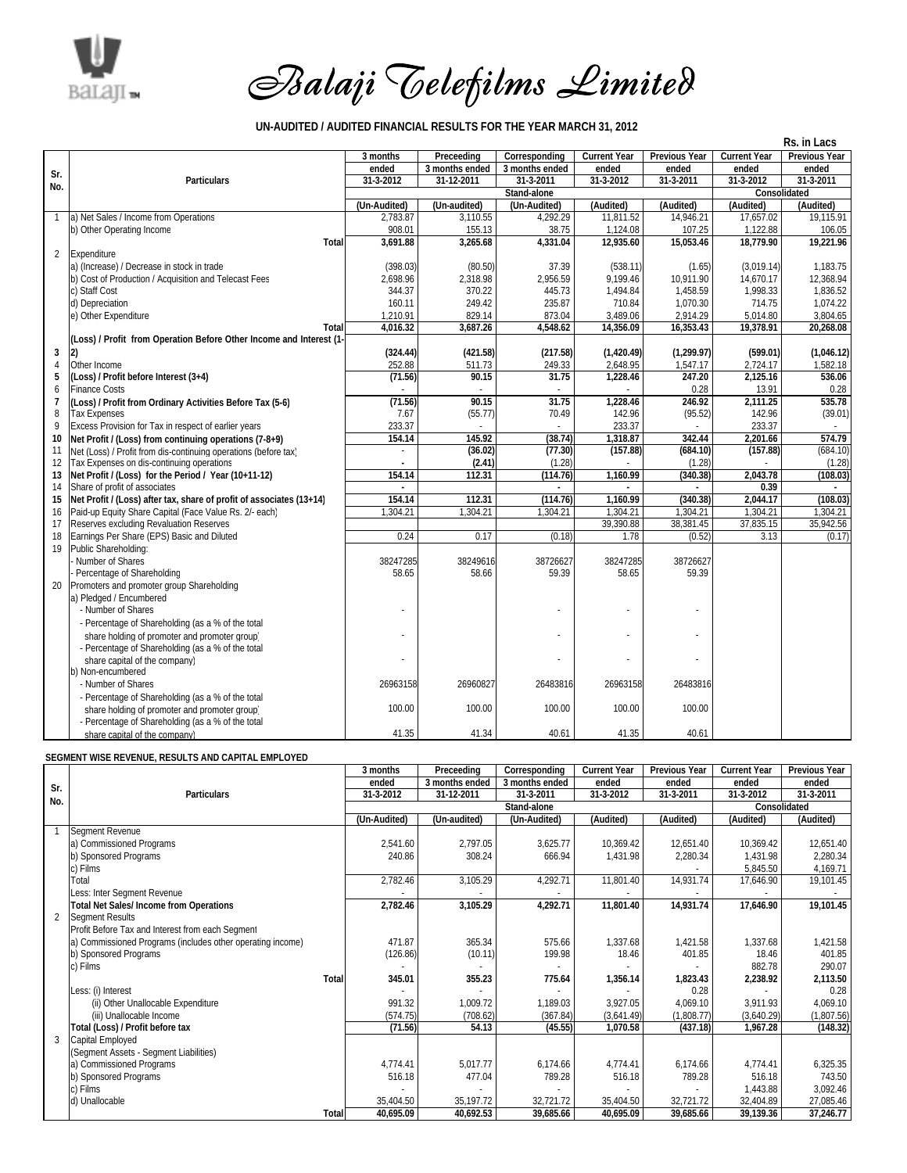

## *Balaji Telefilms Limited*

**UN-AUDITED / AUDITED FINANCIAL RESULTS FOR THE YEAR MARCH 31, 2012**

|                | Rs. in Lacs                                                          |                |                |                |                     |                      |                     |                      |
|----------------|----------------------------------------------------------------------|----------------|----------------|----------------|---------------------|----------------------|---------------------|----------------------|
|                |                                                                      | 3 months       | Preceeding     | Corresponding  | <b>Current Year</b> | <b>Previous Year</b> | <b>Current Year</b> | <b>Previous Year</b> |
| Sr.            |                                                                      | ended          | 3 months ended | 3 months ended | ended               | ended                | ended               | ended                |
| No.            | <b>Particulars</b>                                                   | 31-3-2012      | 31-12-2011     | 31-3-2011      | 31-3-2012           | 31-3-2011            | 31-3-2012           | 31-3-2011            |
|                |                                                                      |                |                | Consolidated   |                     |                      |                     |                      |
|                |                                                                      | (Un-Audited)   | (Un-audited)   | (Un-Audited)   | (Audited)           | (Audited)            | (Audited)           | (Audited)            |
| $\mathbf{1}$   | a) Net Sales / Income from Operations                                | 2,783.87       | 3,110.55       | 4,292.29       | 11,811.52           | 14,946.21            | 17,657.02           | 19,115.91            |
|                | b) Other Operating Income                                            | 908.01         | 155.13         | 38.75          | 1,124.08            | 107.25               | 1,122.88            | 106.05               |
|                | Total                                                                | 3,691.88       | 3,265.68       | 4,331.04       | 12,935.60           | 15,053.46            | 18,779.90           | 19,221.96            |
| $\overline{2}$ | Expenditure                                                          |                |                |                |                     |                      |                     |                      |
|                | a) (Increase) / Decrease in stock in trade                           | (398.03)       | (80.50)        | 37.39          | (538.11)            | (1.65)               | (3.019.14)          | 1.183.75             |
|                | b) Cost of Production / Acquisition and Telecast Fees                | 2.698.96       | 2,318.98       | 2,956.59       | 9.199.46            | 10.911.90            | 14.670.17           | 12.368.94            |
|                | c) Staff Cost                                                        | 344.37         | 370.22         | 445.73         | 1,494.84            | 1,458.59             | 1,998.33            | 1,836.52             |
|                | d) Depreciation                                                      | 160.11         | 249.42         | 235.87         | 710.84              | 1.070.30             | 714.75              | 1.074.22             |
|                | e) Other Expenditure                                                 | 1,210.91       | 829.14         | 873.04         | 3,489.06            | 2,914.29             | 5,014.80            | 3,804.65             |
|                | Total                                                                | 4,016.32       | 3,687.26       | 4,548.62       | 14,356.09           | 16,353.43            | 19,378.91           | 20,268.08            |
|                | (Loss) / Profit from Operation Before Other Income and Interest (1-  |                |                |                |                     |                      |                     |                      |
| 3              | 2)                                                                   | (324.44)       | (421.58)       | (217.58)       | (1,420.49)          | (1, 299.97)          | (599.01)            | (1,046.12)           |
| $\overline{4}$ | Other Income                                                         | 252.88         | 511.73         | 249.33         | 2,648.95            | 1,547.17             | 2,724.17            | 1,582.18             |
| 5              | (Loss) / Profit before Interest (3+4)                                | (71.56)        | 90.15          | 31.75          | 1,228.46            | 247.20               | 2,125.16            | 536.06               |
| 6              | <b>Finance Costs</b>                                                 |                |                |                |                     | 0.28                 | 13.91               | 0.28                 |
| 7              | (Loss) / Profit from Ordinary Activities Before Tax (5-6)            | (71.56)        | 90.15          | 31.75          | 1,228.46            | 246.92               | 2,111.25            | 535.78               |
| 8              | <b>Tax Expenses</b>                                                  | 7.67           | (55.77)        | 70.49          | 142.96              | (95.52)              | 142.96              | (39.01)              |
| 9              | Excess Provision for Tax in respect of earlier years                 | 233.37         |                |                | 233.37              |                      | 233.37              |                      |
| 10             | Net Profit / (Loss) from continuing operations (7-8+9)               | 154.14         | 145.92         | (38.74)        | 1,318.87            | 342.44               | 2,201.66            | 574.79               |
| 11             | Net (Loss) / Profit from dis-continuing operations (before tax)      |                | (36.02)        | (77.30)        | (157.88)            | (684.10)             | (157.88)            | (684.10)             |
| 12             | Tax Expenses on dis-continuing operations                            |                | (2.41)         | (1.28)         |                     | (1.28)               |                     | (1.28)               |
| 13             | Net Profit / (Loss) for the Period / Year (10+11-12)                 | 154.14         | 112.31         | (114.76)       | 1,160.99            | (340.38)             | 2,043.78            | (108.03)             |
| 14             | Share of profit of associates                                        | $\overline{a}$ |                |                |                     |                      | 0.39                |                      |
| 15             | Net Profit / (Loss) after tax, share of profit of associates (13+14) | 154.14         | 112.31         | (114.76)       | 1,160.99            | (340.38)             | 2,044.17            | (108.03)             |
| 16             | Paid-up Equity Share Capital (Face Value Rs. 2/- each)               | 1.304.21       | 1.304.21       | 1.304.21       | 1.304.21            | 1.304.21             | 1.304.21            | 1.304.21             |
| 17             | Reserves excluding Revaluation Reserves                              |                |                |                | 39,390.88           | 38,381.45            | 37,835.15           | 35,942.56            |
| 18             | Earnings Per Share (EPS) Basic and Diluted                           | 0.24           | 0.17           | (0.18)         | 1.78                | (0.52)               | 3.13                | (0.17)               |
| 19             | Public Shareholding:                                                 |                |                |                |                     |                      |                     |                      |
|                | Number of Shares                                                     | 38247285       | 38249616       | 38726627       | 38247285            | 38726627             |                     |                      |
|                | Percentage of Shareholding                                           | 58.65          | 58.66          | 59.39          | 58.65               | 59.39                |                     |                      |
| 20             | Promoters and promoter group Shareholding                            |                |                |                |                     |                      |                     |                      |
|                | a) Pledged / Encumbered                                              |                |                |                |                     |                      |                     |                      |
|                | - Number of Shares                                                   |                |                |                |                     |                      |                     |                      |
|                | - Percentage of Shareholding (as a % of the total                    |                |                |                |                     |                      |                     |                      |
|                | share holding of promoter and promoter group)                        |                |                |                | ÷                   |                      |                     |                      |
|                | - Percentage of Shareholding (as a % of the total                    |                |                |                |                     |                      |                     |                      |
|                | share capital of the company)                                        |                |                |                |                     |                      |                     |                      |
|                | b) Non-encumbered                                                    |                |                |                |                     |                      |                     |                      |
|                | - Number of Shares                                                   | 26963158       | 26960827       | 26483816       | 26963158            | 26483816             |                     |                      |
|                | - Percentage of Shareholding (as a % of the total                    |                |                |                |                     |                      |                     |                      |
|                | share holding of promoter and promoter group)                        | 100.00         | 100.00         | 100.00         | 100.00              | 100.00               |                     |                      |
|                | - Percentage of Shareholding (as a % of the total                    |                |                |                |                     |                      |                     |                      |
|                | share capital of the company)                                        | 41.35          | 41.34          | 40.61          | 41.35               | 40.61                |                     |                      |

## **SEGMENT WISE REVENUE, RESULTS AND CAPITAL EMPLOYED**

|                |                                                            | 3 months     | Preceeding     | Corresponding  | <b>Current Year</b> | <b>Previous Year</b> | <b>Current Year</b> | <b>Previous Year</b> |
|----------------|------------------------------------------------------------|--------------|----------------|----------------|---------------------|----------------------|---------------------|----------------------|
| Sr.            |                                                            | ended        | 3 months ended | 3 months ended | ended               | ended                | ended               | ended                |
| No.            | <b>Particulars</b>                                         | 31-3-2012    | 31-12-2011     | 31-3-2011      | 31-3-2012           | 31-3-2011            | 31-3-2012           | 31-3-2011            |
|                |                                                            |              |                | Consolidated   |                     |                      |                     |                      |
|                |                                                            | (Un-Audited) | (Un-audited)   | (Un-Audited)   | (Audited)           | (Audited)            | (Audited)           | (Audited)            |
|                | Segment Revenue                                            |              |                |                |                     |                      |                     |                      |
|                | a) Commissioned Programs                                   | 2,541.60     | 2,797.05       | 3,625.77       | 10,369.42           | 12,651.40            | 10,369.42           | 12,651.40            |
|                | b) Sponsored Programs                                      | 240.86       | 308.24         | 666.94         | 1,431.98            | 2,280.34             | 1,431.98            | 2,280.34             |
|                | c) Films                                                   |              |                |                |                     |                      | 5,845.50            | 4,169.71             |
|                | Total                                                      | 2,782.46     | 3,105.29       | 4,292.71       | 11,801.40           | 14,931.74            | 17,646.90           | 19,101.45            |
|                | Less: Inter Segment Revenue                                |              |                |                |                     |                      |                     |                      |
|                | Total Net Sales/Income from Operations                     | 2,782.46     | 3,105.29       | 4,292.71       | 11,801.40           | 14,931.74            | 17,646.90           | 19,101.45            |
| $\overline{2}$ | Segment Results                                            |              |                |                |                     |                      |                     |                      |
|                | Profit Before Tax and Interest from each Segment           |              |                |                |                     |                      |                     |                      |
|                | a) Commissioned Programs (includes other operating income) | 471.87       | 365.34         | 575.66         | 1,337.68            | 1,421.58             | 1,337.68            | 1,421.58             |
|                | b) Sponsored Programs                                      | (126.86)     | (10.11)        | 199.98         | 18.46               | 401.85               | 18.46               | 401.85               |
|                | c) Films                                                   |              |                |                |                     |                      | 882.78              | 290.07               |
|                | Total                                                      | 345.01       | 355.23         | 775.64         | 1,356.14            | 1,823.43             | 2,238.92            | 2,113.50             |
|                | Less: (i) Interest                                         |              |                |                |                     | 0.28                 |                     | 0.28                 |
|                | (ii) Other Unallocable Expenditure                         | 991.32       | 1,009.72       | 1,189.03       | 3,927.05            | 4,069.10             | 3.911.93            | 4,069.10             |
|                | (iii) Unallocable Income                                   | (574.75)     | (708.62)       | (367.84)       | (3,641.49)          | (1,808.77)           | (3,640.29)          | (1,807.56)           |
|                | Total (Loss) / Profit before tax                           | (71.56)      | 54.13          | (45.55)        | 1,070.58            | (437.18)             | 1,967.28            | (148.32)             |
| 3              | Capital Employed                                           |              |                |                |                     |                      |                     |                      |
|                | (Segment Assets - Segment Liabilities)                     |              |                |                |                     |                      |                     |                      |
|                | a) Commissioned Programs                                   | 4,774.41     | 5,017.77       | 6,174.66       | 4,774.41            | 6,174.66             | 4,774.41            | 6,325.35             |
|                | b) Sponsored Programs                                      | 516.18       | 477.04         | 789.28         | 516.18              | 789.28               | 516.18              | 743.50               |
|                | c) Films                                                   |              |                |                |                     |                      | 1,443.88            | 3,092.46             |
|                | d) Unallocable                                             | 35,404.50    | 35,197.72      | 32,721.72      | 35,404.50           | 32,721.72            | 32,404.89           | 27,085.46            |
|                | Total                                                      | 40,695.09    | 40,692.53      | 39,685.66      | 40,695.09           | 39,685.66            | 39,139.36           | 37,246.77            |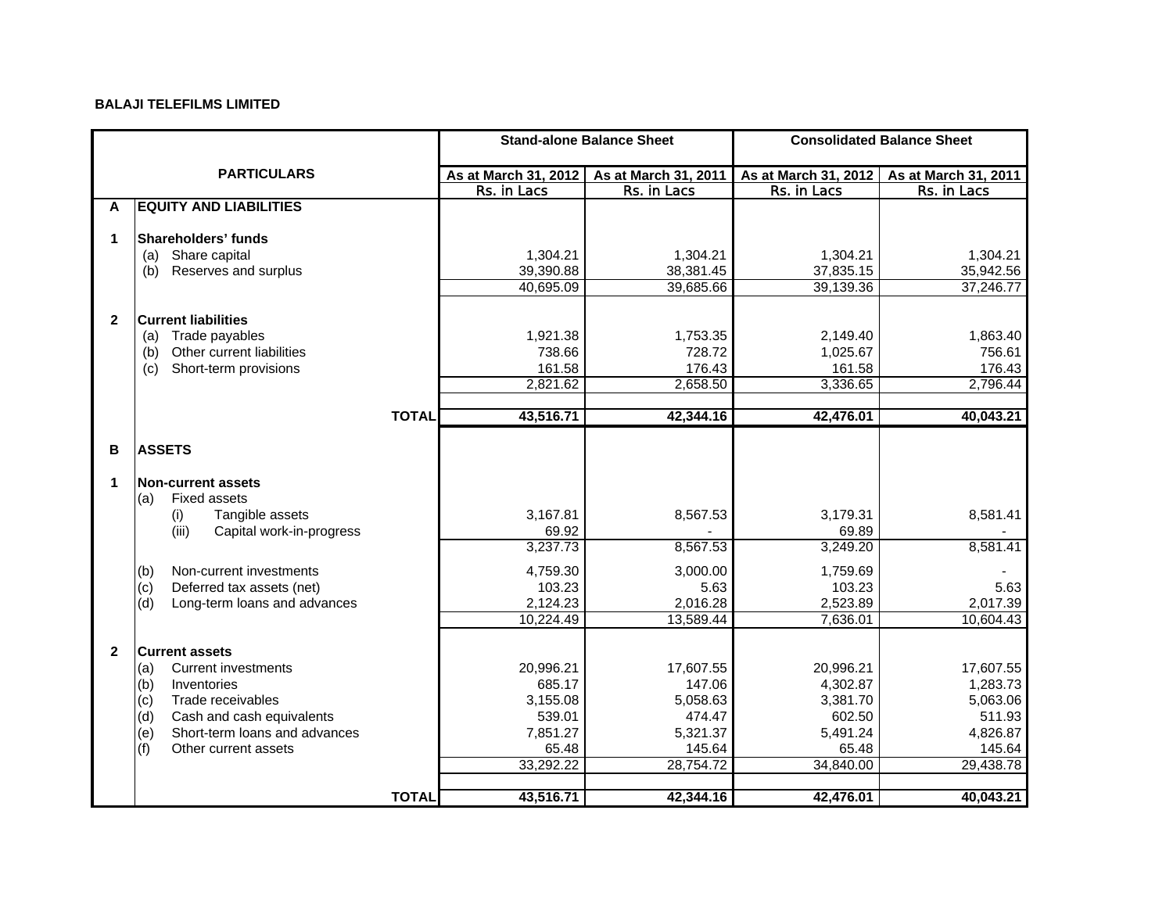## **BALAJI TELEFILMS LIMITED**

|                    |                                      |                      | <b>Stand-alone Balance Sheet</b> | <b>Consolidated Balance Sheet</b> |                      |  |
|--------------------|--------------------------------------|----------------------|----------------------------------|-----------------------------------|----------------------|--|
| <b>PARTICULARS</b> |                                      | As at March 31, 2012 | As at March 31, 2011             | As at March 31, 2012              | As at March 31, 2011 |  |
|                    |                                      | Rs. in Lacs          | Rs. in Lacs                      | Rs. in Lacs                       | Rs. in Lacs          |  |
| A                  | <b>EQUITY AND LIABILITIES</b>        |                      |                                  |                                   |                      |  |
|                    |                                      |                      |                                  |                                   |                      |  |
| 1                  | Shareholders' funds                  |                      |                                  |                                   |                      |  |
|                    | Share capital<br>(a)                 | 1,304.21             | 1,304.21                         | 1,304.21                          | 1,304.21             |  |
|                    | Reserves and surplus<br>(b)          | 39,390.88            | 38,381.45                        | 37,835.15                         | 35,942.56            |  |
|                    |                                      | 40,695.09            | 39,685.66                        | 39,139.36                         | 37,246.77            |  |
|                    |                                      |                      |                                  |                                   |                      |  |
| $\mathbf{2}$       | <b>Current liabilities</b>           |                      |                                  |                                   |                      |  |
|                    | Trade payables<br>(a)                | 1,921.38             | 1,753.35                         | 2,149.40                          | 1,863.40             |  |
|                    | Other current liabilities<br>(b)     | 738.66               | 728.72                           | 1,025.67                          | 756.61               |  |
|                    | Short-term provisions<br>(c)         | 161.58               | 176.43                           | 161.58                            | 176.43               |  |
|                    |                                      | 2,821.62             | 2,658.50                         | 3,336.65                          | 2,796.44             |  |
|                    | <b>TOTAL</b>                         | 43,516.71            | 42,344.16                        | 42,476.01                         | 40,043.21            |  |
|                    |                                      |                      |                                  |                                   |                      |  |
| в                  | <b>ASSETS</b>                        |                      |                                  |                                   |                      |  |
|                    |                                      |                      |                                  |                                   |                      |  |
| $\mathbf 1$        | <b>Non-current assets</b>            |                      |                                  |                                   |                      |  |
|                    | <b>Fixed assets</b><br>(a)           |                      |                                  |                                   |                      |  |
|                    | Tangible assets<br>(i)               | 3,167.81             | 8,567.53                         | 3,179.31                          | 8,581.41             |  |
|                    | (iii)<br>Capital work-in-progress    | 69.92                |                                  | 69.89                             |                      |  |
|                    |                                      | 3,237.73             | 8,567.53                         | 3,249.20                          | 8,581.41             |  |
|                    | (b)<br>Non-current investments       | 4,759.30             | 3,000.00                         | 1,759.69                          |                      |  |
|                    | Deferred tax assets (net)<br>(c)     | 103.23               | 5.63                             | 103.23                            | 5.63                 |  |
|                    | Long-term loans and advances<br>(d)  | 2,124.23             | 2,016.28                         | 2,523.89                          | 2,017.39             |  |
|                    |                                      | 10,224.49            | 13,589.44                        | 7,636.01                          | 10,604.43            |  |
|                    |                                      |                      |                                  |                                   |                      |  |
| $\mathbf{2}$       | <b>Current assets</b>                |                      |                                  |                                   |                      |  |
|                    | <b>Current investments</b><br>(a)    | 20,996.21            | 17,607.55                        | 20,996.21                         | 17,607.55            |  |
|                    | Inventories<br>(b)                   | 685.17               | 147.06                           | 4,302.87                          | 1,283.73             |  |
|                    | Trade receivables<br>(c)             | 3,155.08             | 5,058.63                         | 3,381.70                          | 5,063.06             |  |
|                    | (d)<br>Cash and cash equivalents     | 539.01               | 474.47                           | 602.50                            | 511.93               |  |
|                    | Short-term loans and advances<br>(e) | 7,851.27             | 5,321.37                         | 5,491.24                          | 4,826.87             |  |
|                    | (f)<br>Other current assets          | 65.48                | 145.64                           | 65.48                             | 145.64               |  |
|                    |                                      | 33,292.22            | 28,754.72                        | 34,840.00                         | 29,438.78            |  |
|                    |                                      |                      |                                  |                                   |                      |  |
|                    | <b>TOTAL</b>                         | 43,516.71            | 42,344.16                        | 42,476.01                         | 40,043.21            |  |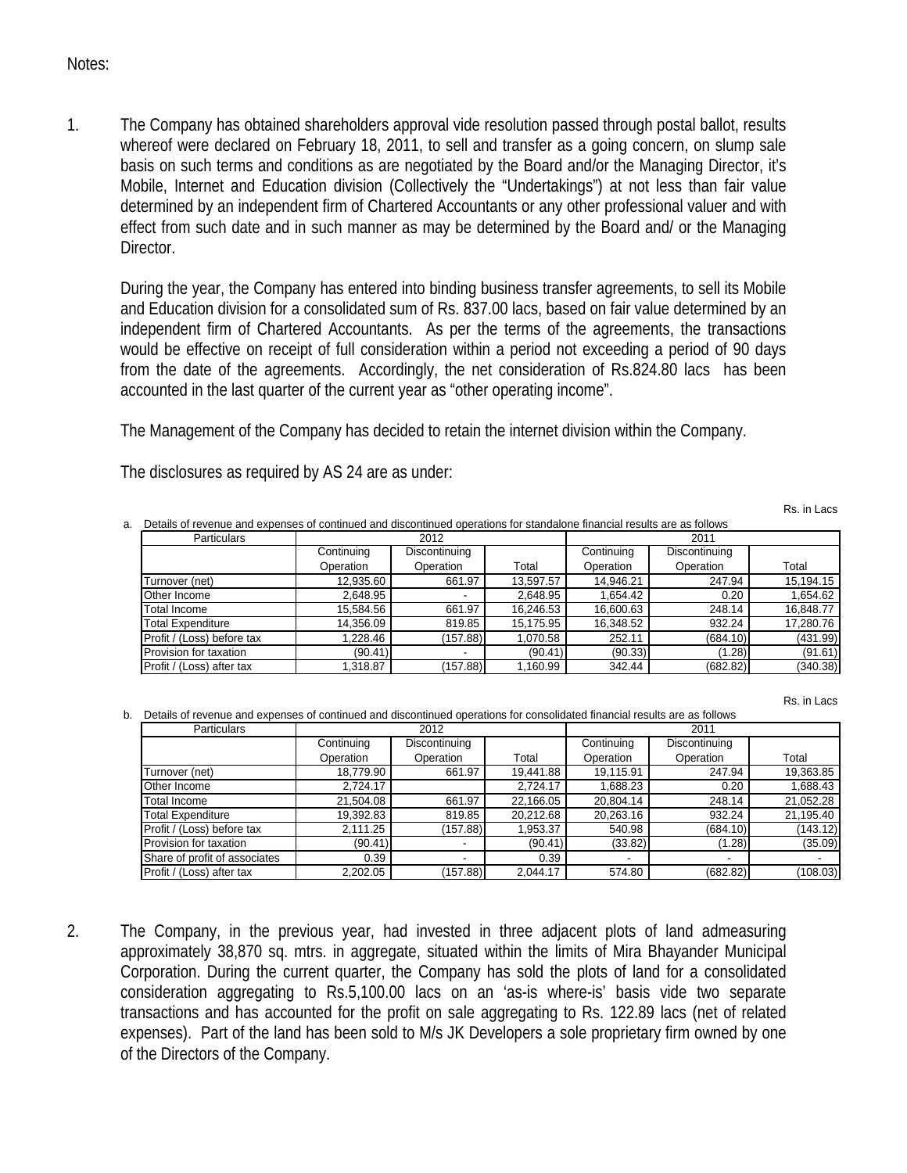## Notes:

1. The Company has obtained shareholders approval vide resolution passed through postal ballot, results whereof were declared on February 18, 2011, to sell and transfer as a going concern, on slump sale basis on such terms and conditions as are negotiated by the Board and/or the Managing Director, it's Mobile, Internet and Education division (Collectively the "Undertakings") at not less than fair value determined by an independent firm of Chartered Accountants or any other professional valuer and with effect from such date and in such manner as may be determined by the Board and/ or the Managing Director.

During the year, the Company has entered into binding business transfer agreements, to sell its Mobile and Education division for a consolidated sum of Rs. 837.00 lacs, based on fair value determined by an independent firm of Chartered Accountants. As per the terms of the agreements, the transactions would be effective on receipt of full consideration within a period not exceeding a period of 90 days from the date of the agreements. Accordingly, the net consideration of Rs.824.80 lacs has been accounted in the last quarter of the current year as "other operating income".

The Management of the Company has decided to retain the internet division within the Company.

The disclosures as required by AS 24 are as under:

Rs. in Lacs

| Details of revenue and expenses of continued and discontinued operations for standalone financial results are as follows |            |               |           |            |               |           |  |
|--------------------------------------------------------------------------------------------------------------------------|------------|---------------|-----------|------------|---------------|-----------|--|
| <b>Particulars</b>                                                                                                       | 2012       |               |           | 2011       |               |           |  |
|                                                                                                                          | Continuing | Discontinuing |           | Continuing | Discontinuing |           |  |
|                                                                                                                          | Operation  | Operation     | Total     | Operation  | Operation     | Total     |  |
| Turnover (net)                                                                                                           | 12,935.60  | 661.97        | 13,597.57 | 14,946.21  | 247.94        | 15,194.15 |  |
| Other Income                                                                                                             | 2.648.95   |               | 2.648.95  | 1.654.42   | 0.20          | 1,654.62  |  |
| Total Income                                                                                                             | 15,584.56  | 661.97        | 16,246.53 | 16,600.63  | 248.14        | 16,848.77 |  |
| <b>Total Expenditure</b>                                                                                                 | 14,356.09  | 819.85        | 15,175.95 | 16,348.52  | 932.24        | 17,280.76 |  |
| Profit / (Loss) before tax                                                                                               | 1.228.46   | (157.88)      | 1.070.58  | 252.11     | (684.10)      | (431.99)  |  |
| Provision for taxation                                                                                                   | (90.41)    |               | (90.41)   | (90.33)    | (1.28)        | (91.61)   |  |
| Profit / (Loss) after tax                                                                                                | ,318.87    | (157.88)      | 1,160.99  | 342.44     | (682.82)      | (340.38)  |  |

Rs. in Lacs

b. Details of revenue and expenses of continued and discontinued operations for consolidated financial results are as follows

| <b>Particulars</b>            | 2012       |               | 2011      |                          |               |           |
|-------------------------------|------------|---------------|-----------|--------------------------|---------------|-----------|
|                               | Continuing | Discontinuing |           | Continuing               | Discontinuing |           |
|                               | Operation  | Operation     | Total     | Operation                | Operation     | Total     |
| Turnover (net)                | 18,779.90  | 661.97        | 19,441.88 | 19.115.91                | 247.94        | 19,363.85 |
| Other Income                  | 2,724.17   |               | 2,724.17  | 1.688.23                 | 0.20          | 1,688.43  |
| Total Income                  | 21,504.08  | 661.97        | 22,166.05 | 20.804.14                | 248.14        | 21,052.28 |
| Total Expenditure             | 19,392.83  | 819.85        | 20,212.68 | 20,263.16                | 932.24        | 21,195.40 |
| Profit / (Loss) before tax    | 2.111.25   | (157.88)      | 1,953.37  | 540.98                   | (684.10)      | (143.12)  |
| Provision for taxation        | (90.41)    |               | (90.41)   | (33.82)                  | (1.28)        | (35.09)   |
| Share of profit of associates | 0.39       |               | 0.39      | $\overline{\phantom{a}}$ |               |           |
| Profit / (Loss) after tax     | 2.202.05   | (157.88)      | 2.044.17  | 574.80                   | (682.82)      | (108.03)  |

2. The Company, in the previous year, had invested in three adjacent plots of land admeasuring approximately 38,870 sq. mtrs. in aggregate, situated within the limits of Mira Bhayander Municipal Corporation. During the current quarter, the Company has sold the plots of land for a consolidated consideration aggregating to Rs.5,100.00 lacs on an 'as-is where-is' basis vide two separate transactions and has accounted for the profit on sale aggregating to Rs. 122.89 lacs (net of related expenses). Part of the land has been sold to M/s JK Developers a sole proprietary firm owned by one of the Directors of the Company.